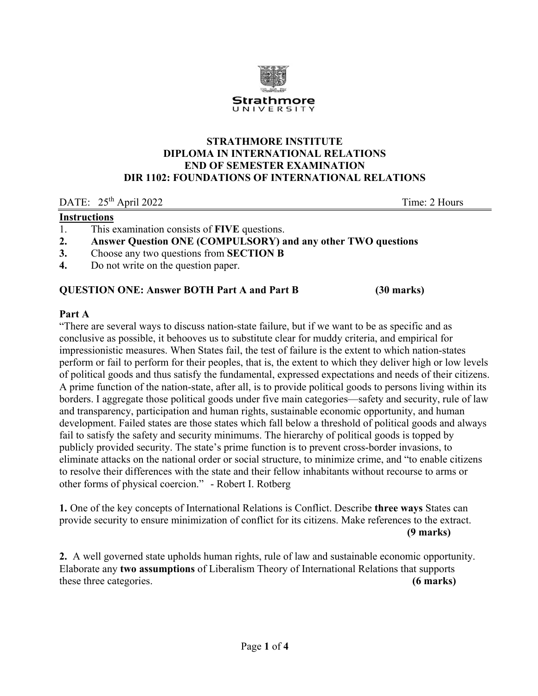

### **STRATHMORE INSTITUTE DIPLOMA IN INTERNATIONAL RELATIONS END OF SEMESTER EXAMINATION DIR 1102: FOUNDATIONS OF INTERNATIONAL RELATIONS**

DATE:  $25<sup>th</sup>$  April 2022 Time: 2 Hours

# **Instructions**

- 1. This examination consists of **FIVE** questions.
- **2. Answer Question ONE (COMPULSORY) and any other TWO questions**
- **3.** Choose any two questions from **SECTION B**
- **4.** Do not write on the question paper.

# **QUESTION ONE: Answer BOTH Part A and Part B (30 marks)**

### **Part A**

"There are several ways to discuss nation-state failure, but if we want to be as specific and as conclusive as possible, it behooves us to substitute clear for muddy criteria, and empirical for impressionistic measures. When States fail, the test of failure is the extent to which nation-states perform or fail to perform for their peoples, that is, the extent to which they deliver high or low levels of political goods and thus satisfy the fundamental, expressed expectations and needs of their citizens. A prime function of the nation-state, after all, is to provide political goods to persons living within its borders. I aggregate those political goods under five main categories—safety and security, rule of law and transparency, participation and human rights, sustainable economic opportunity, and human development. Failed states are those states which fall below a threshold of political goods and always fail to satisfy the safety and security minimums. The hierarchy of political goods is topped by publicly provided security. The state's prime function is to prevent cross-border invasions, to eliminate attacks on the national order or social structure, to minimize crime, and "to enable citizens to resolve their differences with the state and their fellow inhabitants without recourse to arms or other forms of physical coercion." - Robert I. Rotberg

**1.** One of the key concepts of International Relations is Conflict. Describe **three ways** States can provide security to ensure minimization of conflict for its citizens. Make references to the extract. **(9 marks)** 

**2.** A well governed state upholds human rights, rule of law and sustainable economic opportunity. Elaborate any **two assumptions** of Liberalism Theory of International Relations that supports these three categories. **(6 marks)**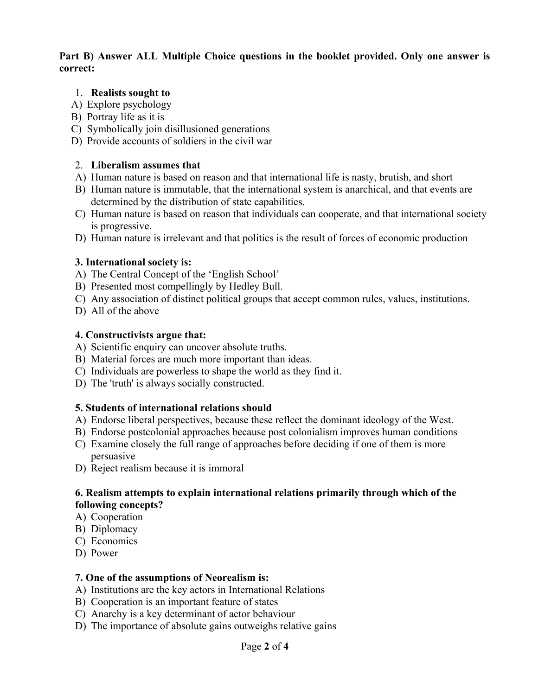### **Part B) Answer ALL Multiple Choice questions in the booklet provided. Only one answer is correct:**

### 1. **Realists sought to**

- A) Explore psychology
- B) Portray life as it is
- C) Symbolically join disillusioned generations
- D) Provide accounts of soldiers in the civil war

### 2. **Liberalism assumes that**

- A) Human nature is based on reason and that international life is nasty, brutish, and short
- B) Human nature is immutable, that the international system is anarchical, and that events are determined by the distribution of state capabilities.
- C) Human nature is based on reason that individuals can cooperate, and that international society is progressive.
- D) Human nature is irrelevant and that politics is the result of forces of economic production

### **3. International society is:**

- A) The Central Concept of the 'English School'
- B) Presented most compellingly by Hedley Bull.
- C) Any association of distinct political groups that accept common rules, values, institutions.
- D) All of the above

### **4. Constructivists argue that:**

- A) Scientific enquiry can uncover absolute truths.
- B) Material forces are much more important than ideas.
- C) Individuals are powerless to shape the world as they find it.
- D) The 'truth' is always socially constructed.

# **5. Students of international relations should**

- A) Endorse liberal perspectives, because these reflect the dominant ideology of the West.
- B) Endorse postcolonial approaches because post colonialism improves human conditions
- C) Examine closely the full range of approaches before deciding if one of them is more persuasive
- D) Reject realism because it is immoral

# **6. Realism attempts to explain international relations primarily through which of the following concepts?**

- A) Cooperation
- B) Diplomacy
- C) Economics
- D) Power

# **7. One of the assumptions of Neorealism is:**

- A) Institutions are the key actors in International Relations
- B) Cooperation is an important feature of states
- C) Anarchy is a key determinant of actor behaviour
- D) The importance of absolute gains outweighs relative gains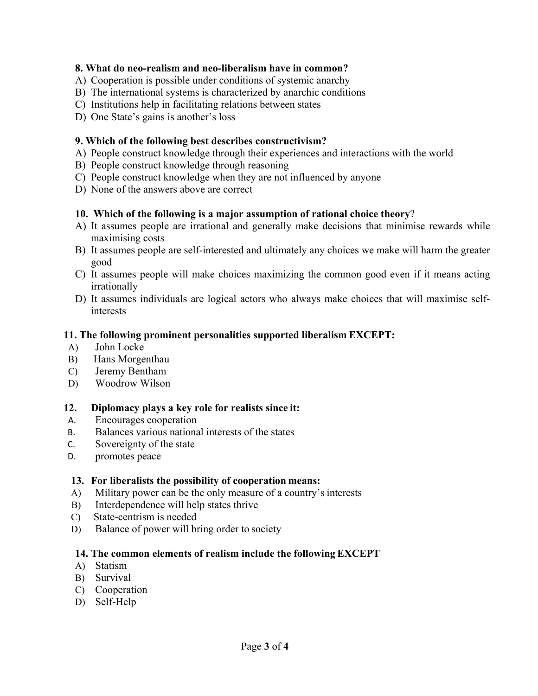# **8. What do neo-realism and neo-liberalism have in common?**

- A) Cooperation is possible under conditions of systemic anarchy
- B) The international systems is characterized by anarchic conditions
- C) Institutions help in facilitating relations between states
- D) One State's gains is another's loss

### **9. Which of the following best describes constructivism?**

- A) People construct knowledge through their experiences and interactions with the world
- B) People construct knowledge through reasoning
- C) People construct knowledge when they are not influenced by anyone
- D) None of the answers above are correct

### **10. Which of the following is a major assumption of rational choice theory**?

- A) It assumes people are irrational and generally make decisions that minimise rewards while maximising costs
- B) It assumes people are self-interested and ultimately any choices we make will harm the greater good
- C) It assumes people will make choices maximizing the common good even if it means acting irrationally
- D) It assumes individuals are logical actors who always make choices that will maximise selfinterests

# **11. The following prominent personalities supported liberalism EXCEPT:**

- A) John Locke
- B) Hans Morgenthau
- C) Jeremy Bentham
- D) Woodrow Wilson

#### **12. Diplomacy plays a key role for realists since it:**

- A. Encourages cooperation
- B. Balances various national interests of the states
- C. Sovereignty of the state
- D. promotes peace

#### **13. For liberalists the possibility of cooperation means:**

- A) Military power can be the only measure of a country's interests
- B) Interdependence will help states thrive
- C) State-centrism is needed
- D) Balance of power will bring order to society

# **14. The common elements of realism include the following EXCEPT**

- A) Statism
- B) Survival
- C) Cooperation
- D) Self-Help